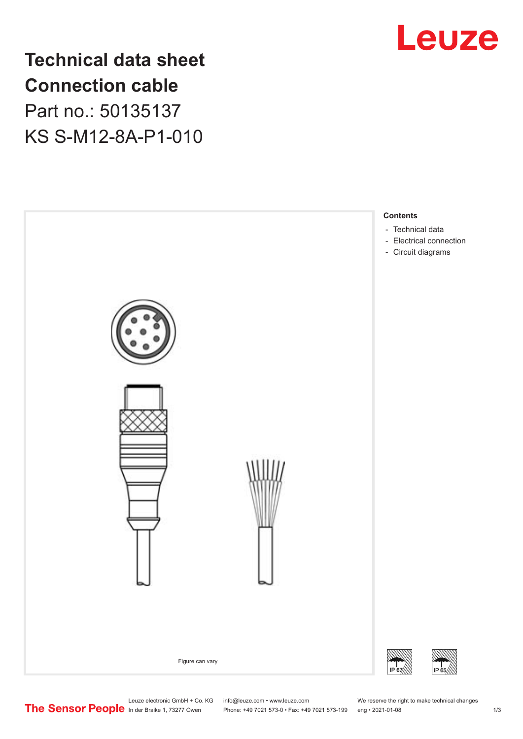

## **Technical data sheet Connection cable** Part no.: 50135137

KS S-M12-8A-P1-010



Leuze electronic GmbH + Co. KG info@leuze.com • www.leuze.com We reserve the right to make technical changes<br>
The Sensor People in der Braike 1, 73277 Owen Phone: +49 7021 573-0 • Fax: +49 7021 573-199 eng • 2021-01-08

Phone: +49 7021 573-0 • Fax: +49 7021 573-199 eng • 2021-01-08 1 2021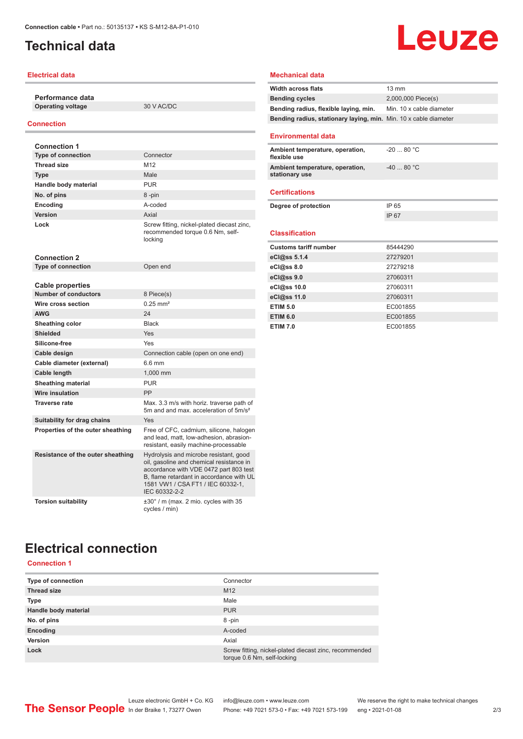## <span id="page-1-0"></span>**Technical data**

#### **Electrical data**

**Performance data**

**Operating voltage** 30 V AC/DC

#### **Connection**

| <b>Connection 1</b>               |                                                                                                                                                                                                                                |
|-----------------------------------|--------------------------------------------------------------------------------------------------------------------------------------------------------------------------------------------------------------------------------|
| <b>Type of connection</b>         | Connector                                                                                                                                                                                                                      |
| <b>Thread size</b>                | M12                                                                                                                                                                                                                            |
| <b>Type</b>                       | Male                                                                                                                                                                                                                           |
| Handle body material              | <b>PUR</b>                                                                                                                                                                                                                     |
| No. of pins                       | 8-pin                                                                                                                                                                                                                          |
| <b>Encoding</b>                   | A-coded                                                                                                                                                                                                                        |
| Version                           | Axial                                                                                                                                                                                                                          |
| Lock                              | Screw fitting, nickel-plated diecast zinc,<br>recommended torque 0.6 Nm, self-<br>locking                                                                                                                                      |
| <b>Connection 2</b>               |                                                                                                                                                                                                                                |
| <b>Type of connection</b>         | Open end                                                                                                                                                                                                                       |
|                                   |                                                                                                                                                                                                                                |
| <b>Cable properties</b>           |                                                                                                                                                                                                                                |
| <b>Number of conductors</b>       | 8 Piece(s)<br>$0.25$ mm <sup>2</sup>                                                                                                                                                                                           |
| Wire cross section                |                                                                                                                                                                                                                                |
| <b>AWG</b>                        | 24                                                                                                                                                                                                                             |
| Sheathing color                   | <b>Black</b>                                                                                                                                                                                                                   |
| <b>Shielded</b>                   | Yes                                                                                                                                                                                                                            |
| Silicone-free                     | Yes                                                                                                                                                                                                                            |
| Cable design                      | Connection cable (open on one end)                                                                                                                                                                                             |
| Cable diameter (external)         | 6.6 mm                                                                                                                                                                                                                         |
| Cable length                      | 1.000 mm                                                                                                                                                                                                                       |
| <b>Sheathing material</b>         | <b>PUR</b>                                                                                                                                                                                                                     |
| <b>Wire insulation</b>            | PP                                                                                                                                                                                                                             |
| <b>Traverse rate</b>              | Max. 3.3 m/s with horiz. traverse path of<br>5m and and max, acceleration of 5m/s <sup>2</sup>                                                                                                                                 |
| Suitability for drag chains       | Yes                                                                                                                                                                                                                            |
| Properties of the outer sheathing | Free of CFC, cadmium, silicone, halogen<br>and lead, matt, low-adhesion, abrasion-<br>resistant, easily machine-processable                                                                                                    |
| Resistance of the outer sheathing | Hydrolysis and microbe resistant, good<br>oil, gasoline and chemical resistance in<br>accordance with VDE 0472 part 803 test<br>B. flame retardant in accordance with UL<br>1581 VW1 / CSA FT1 / IEC 60332-1,<br>IEC 60332-2-2 |
| <b>Torsion suitability</b>        | $\pm 30^\circ$ / m (max. 2 mio. cycles with 35<br>cycles / min)                                                                                                                                                                |

# **Leuze**

#### **Mechanical data**

| <b>Width across flats</b>                                        | 13 mm                    |
|------------------------------------------------------------------|--------------------------|
| <b>Bending cycles</b>                                            | 2,000,000 Piece(s)       |
| Bending radius, flexible laying, min.                            | Min. 10 x cable diameter |
| Bending radius, stationary laying, min. Min. 10 x cable diameter |                          |
| <b>Environmental data</b>                                        |                          |
| Ambient temperature, operation,<br>flexible use                  | $-2080 °C$               |
| Ambient temperature, operation,<br>stationary use                | $-40.80 °C$              |
| <b>Certifications</b>                                            |                          |
| Degree of protection                                             | IP 65                    |
|                                                                  | <b>IP 67</b>             |
|                                                                  |                          |
| <b>Classification</b>                                            |                          |
| <b>Customs tariff number</b>                                     | 85444290                 |
| eCl@ss 5.1.4                                                     | 27279201                 |
| $eC/\omega$ ss 8.0                                               | 27279218                 |
| eCl@ss 9.0                                                       | 27060311                 |
| eCl@ss 10.0                                                      | 27060311                 |
| eCl@ss 11.0                                                      | 27060311                 |
| <b>ETIM 5.0</b>                                                  | EC001855                 |
| <b>ETIM 6.0</b>                                                  | EC001855                 |
| <b>ETIM 7.0</b>                                                  | EC001855                 |

## **Electrical connection**

### **Connection 1**

| Type of connection   | Connector                                                                             |
|----------------------|---------------------------------------------------------------------------------------|
| <b>Thread size</b>   | M <sub>12</sub>                                                                       |
| <b>Type</b>          | Male                                                                                  |
| Handle body material | <b>PUR</b>                                                                            |
| No. of pins          | 8-pin                                                                                 |
| Encoding             | A-coded                                                                               |
| Version              | Axial                                                                                 |
| Lock                 | Screw fitting, nickel-plated diecast zinc, recommended<br>torque 0.6 Nm, self-locking |
|                      |                                                                                       |